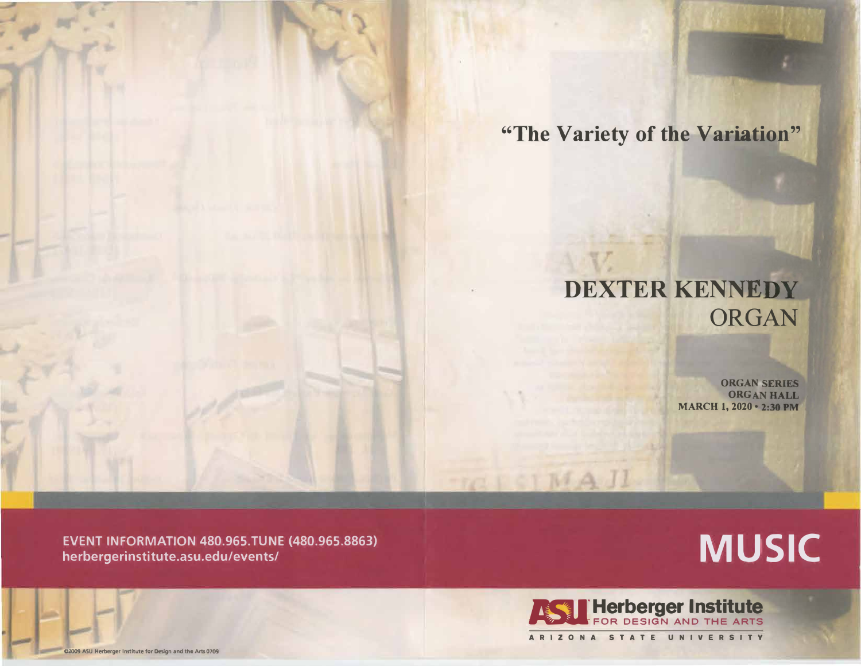**"The Variety of the Variation"** 

## **DEXTER KENNEDY** ORGAN

**ORGAN SERIES ORGAN HALL MARCH 1, 2020 · 2:30 PM** 

**EVENT INFORMATION 480.965.TUNE (480.965.8863) herbergerinstitute.asu.edu/events/** 

## **MUSIC**



 $C \upharpoonright M \uptriangle H$ 

**02009 ASU Herberger Institute for Design and the Arts 0709**